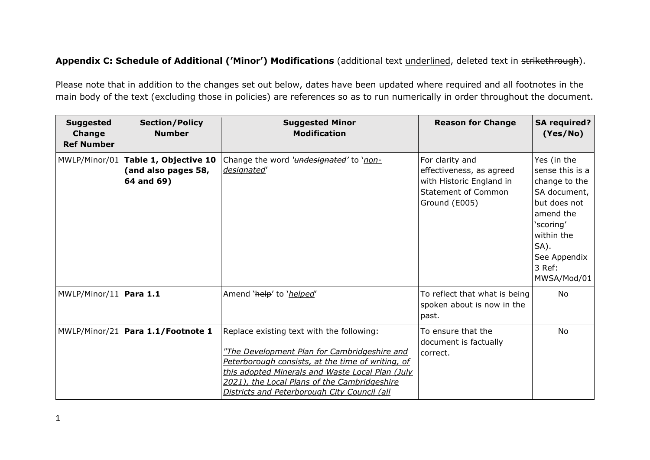## **Appendix C: Schedule of Additional ('Minor') Modifications** (additional text underlined, deleted text in strikethrough).

Please note that in addition to the changes set out below, dates have been updated where required and all footnotes in the main body of the text (excluding those in policies) are references so as to run numerically in order throughout the document.

| <b>Suggested</b><br><b>Change</b><br><b>Ref Number</b> | <b>Section/Policy</b><br><b>Number</b>                     | <b>Suggested Minor</b><br><b>Modification</b>                                                                                                                                                                                                                                                      | <b>Reason for Change</b>                                                                                               | <b>SA required?</b><br>(Yes/No)                                                                                                                                          |
|--------------------------------------------------------|------------------------------------------------------------|----------------------------------------------------------------------------------------------------------------------------------------------------------------------------------------------------------------------------------------------------------------------------------------------------|------------------------------------------------------------------------------------------------------------------------|--------------------------------------------------------------------------------------------------------------------------------------------------------------------------|
| MWLP/Minor/01                                          | Table 1, Objective 10<br>(and also pages 58,<br>64 and 69) | Change the word 'undesignated' to 'non-<br>designated'                                                                                                                                                                                                                                             | For clarity and<br>effectiveness, as agreed<br>with Historic England in<br><b>Statement of Common</b><br>Ground (E005) | Yes (in the<br>sense this is a<br>change to the<br>SA document,<br>but does not<br>amend the<br>'scoring'<br>within the<br>SA).<br>See Appendix<br>3 Ref:<br>MWSA/Mod/01 |
| MWLP/Minor/11   Para 1.1                               |                                                            | Amend 'help' to 'helped'                                                                                                                                                                                                                                                                           | To reflect that what is being<br>spoken about is now in the<br>past.                                                   | No                                                                                                                                                                       |
| MWLP/Minor/21                                          | Para 1.1/Footnote 1                                        | Replace existing text with the following:<br>"The Development Plan for Cambridgeshire and<br>Peterborough consists, at the time of writing, of<br>this adopted Minerals and Waste Local Plan (July<br>2021), the Local Plans of the Cambridgeshire<br>Districts and Peterborough City Council (all | To ensure that the<br>document is factually<br>correct.                                                                | No                                                                                                                                                                       |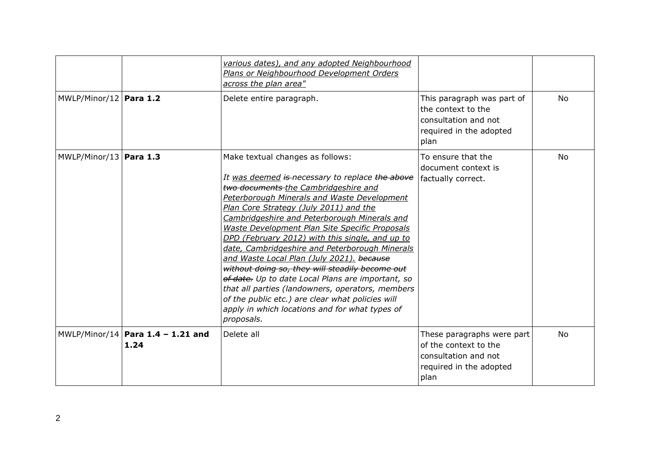|                          |                                           | various dates), and any adopted Neighbourhood<br>Plans or Neighbourhood Development Orders<br>across the plan area"                                                                                                                                                                                                                                                                                                                                                                                                                                                                                                                                                                                                                                      |                                                                                                                |           |
|--------------------------|-------------------------------------------|----------------------------------------------------------------------------------------------------------------------------------------------------------------------------------------------------------------------------------------------------------------------------------------------------------------------------------------------------------------------------------------------------------------------------------------------------------------------------------------------------------------------------------------------------------------------------------------------------------------------------------------------------------------------------------------------------------------------------------------------------------|----------------------------------------------------------------------------------------------------------------|-----------|
| MWLP/Minor/12   Para 1.2 |                                           | Delete entire paragraph.                                                                                                                                                                                                                                                                                                                                                                                                                                                                                                                                                                                                                                                                                                                                 | This paragraph was part of<br>the context to the<br>consultation and not<br>required in the adopted<br>plan    | No        |
| MWLP/Minor/13   Para 1.3 |                                           | Make textual changes as follows:<br>It was deemed is necessary to replace the above<br>two documents the Cambridgeshire and<br>Peterborough Minerals and Waste Development<br>Plan Core Strategy (July 2011) and the<br>Cambridgeshire and Peterborough Minerals and<br>Waste Development Plan Site Specific Proposals<br>DPD (February 2012) with this single, and up to<br>date, Cambridgeshire and Peterborough Minerals<br>and Waste Local Plan (July 2021). because<br>without doing so, they will steadily become out<br>of date. Up to date Local Plans are important, so<br>that all parties (landowners, operators, members<br>of the public etc.) are clear what policies will<br>apply in which locations and for what types of<br>proposals. | To ensure that the<br>document context is<br>factually correct.                                                | <b>No</b> |
|                          | MWLP/Minor/14 Para 1.4 - 1.21 and<br>1.24 | Delete all                                                                                                                                                                                                                                                                                                                                                                                                                                                                                                                                                                                                                                                                                                                                               | These paragraphs were part<br>of the context to the<br>consultation and not<br>required in the adopted<br>plan | <b>No</b> |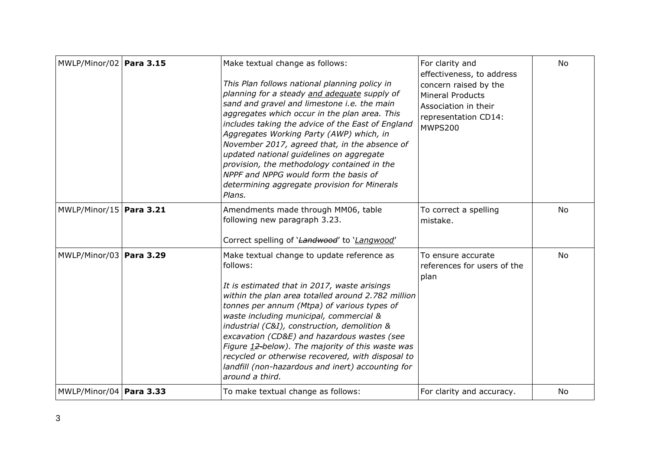| MWLP/Minor/02 Para 3.15   | Make textual change as follows:<br>This Plan follows national planning policy in<br>planning for a steady and adequate supply of<br>sand and gravel and limestone i.e. the main<br>aggregates which occur in the plan area. This<br>includes taking the advice of the East of England<br>Aggregates Working Party (AWP) which, in<br>November 2017, agreed that, in the absence of<br>updated national guidelines on aggregate<br>provision, the methodology contained in the<br>NPPF and NPPG would form the basis of<br>determining aggregate provision for Minerals<br>Plans. | For clarity and<br>effectiveness, to address<br>concern raised by the<br><b>Mineral Products</b><br>Association in their<br>representation CD14:<br><b>MWPS200</b> | <b>No</b> |
|---------------------------|----------------------------------------------------------------------------------------------------------------------------------------------------------------------------------------------------------------------------------------------------------------------------------------------------------------------------------------------------------------------------------------------------------------------------------------------------------------------------------------------------------------------------------------------------------------------------------|--------------------------------------------------------------------------------------------------------------------------------------------------------------------|-----------|
| MWLP/Minor/15   Para 3.21 | Amendments made through MM06, table<br>following new paragraph 3.23.<br>Correct spelling of 'Landwood' to 'Langwood'                                                                                                                                                                                                                                                                                                                                                                                                                                                             | To correct a spelling<br>mistake.                                                                                                                                  | No        |
| MWLP/Minor/03   Para 3.29 | Make textual change to update reference as<br>follows:<br>It is estimated that in 2017, waste arisings<br>within the plan area totalled around 2.782 million<br>tonnes per annum (Mtpa) of various types of<br>waste including municipal, commercial &<br>industrial (C&I), construction, demolition &<br>excavation (CD&E) and hazardous wastes (see<br>Figure 12-below). The majority of this waste was<br>recycled or otherwise recovered, with disposal to<br>landfill (non-hazardous and inert) accounting for<br>around a third.                                           | To ensure accurate<br>references for users of the<br>plan                                                                                                          | No        |
| MWLP/Minor/04   Para 3.33 | To make textual change as follows:                                                                                                                                                                                                                                                                                                                                                                                                                                                                                                                                               | For clarity and accuracy.                                                                                                                                          | No        |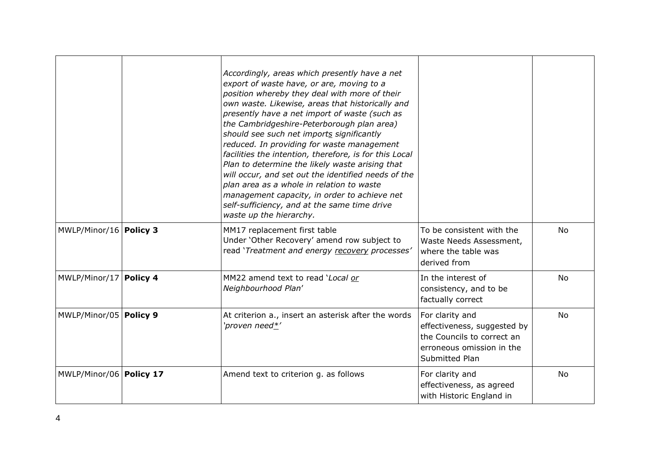|                           | Accordingly, areas which presently have a net<br>export of waste have, or are, moving to a<br>position whereby they deal with more of their<br>own waste. Likewise, areas that historically and<br>presently have a net import of waste (such as<br>the Cambridgeshire-Peterborough plan area)<br>should see such net imports significantly<br>reduced. In providing for waste management<br>facilities the intention, therefore, is for this Local<br>Plan to determine the likely waste arising that<br>will occur, and set out the identified needs of the<br>plan area as a whole in relation to waste<br>management capacity, in order to achieve net<br>self-sufficiency, and at the same time drive<br>waste up the hierarchy. |                                                                                                                             |           |
|---------------------------|---------------------------------------------------------------------------------------------------------------------------------------------------------------------------------------------------------------------------------------------------------------------------------------------------------------------------------------------------------------------------------------------------------------------------------------------------------------------------------------------------------------------------------------------------------------------------------------------------------------------------------------------------------------------------------------------------------------------------------------|-----------------------------------------------------------------------------------------------------------------------------|-----------|
| MWLP/Minor/16   Policy 3  | MM17 replacement first table<br>Under 'Other Recovery' amend row subject to<br>read 'Treatment and energy recovery processes'                                                                                                                                                                                                                                                                                                                                                                                                                                                                                                                                                                                                         | To be consistent with the<br>Waste Needs Assessment,<br>where the table was<br>derived from                                 | <b>No</b> |
| MWLP/Minor/17   Policy 4  | MM22 amend text to read 'Local or<br>Neighbourhood Plan'                                                                                                                                                                                                                                                                                                                                                                                                                                                                                                                                                                                                                                                                              | In the interest of<br>consistency, and to be<br>factually correct                                                           | No        |
| MWLP/Minor/05   Policy 9  | At criterion a., insert an asterisk after the words<br>'proven need*'                                                                                                                                                                                                                                                                                                                                                                                                                                                                                                                                                                                                                                                                 | For clarity and<br>effectiveness, suggested by<br>the Councils to correct an<br>erroneous omission in the<br>Submitted Plan | No        |
| MWLP/Minor/06   Policy 17 | Amend text to criterion g. as follows                                                                                                                                                                                                                                                                                                                                                                                                                                                                                                                                                                                                                                                                                                 | For clarity and<br>effectiveness, as agreed<br>with Historic England in                                                     | <b>No</b> |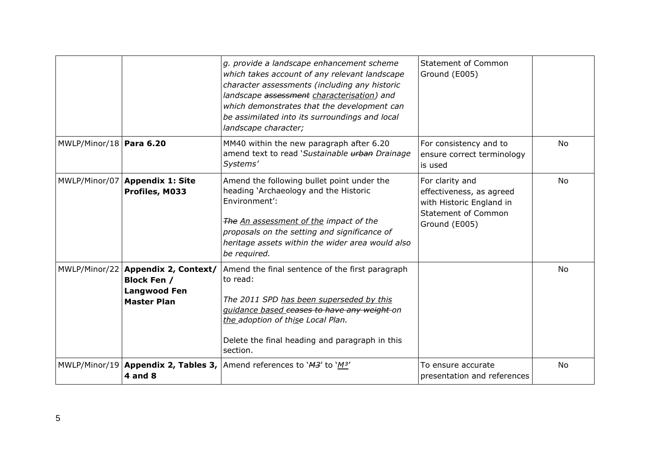|                           |                                                                                                         | g. provide a landscape enhancement scheme<br>which takes account of any relevant landscape<br>character assessments (including any historic<br>landscape assessment characterisation) and<br>which demonstrates that the development can<br>be assimilated into its surroundings and local<br>landscape character; | <b>Statement of Common</b><br>Ground (E005)                                                                            |           |
|---------------------------|---------------------------------------------------------------------------------------------------------|--------------------------------------------------------------------------------------------------------------------------------------------------------------------------------------------------------------------------------------------------------------------------------------------------------------------|------------------------------------------------------------------------------------------------------------------------|-----------|
| MWLP/Minor/18   Para 6.20 |                                                                                                         | MM40 within the new paragraph after 6.20<br>amend text to read 'Sustainable urban Drainage<br>Systems'                                                                                                                                                                                                             | For consistency and to<br>ensure correct terminology<br>is used                                                        | <b>No</b> |
| MWLP/Minor/07             | <b>Appendix 1: Site</b><br>Profiles, M033                                                               | Amend the following bullet point under the<br>heading 'Archaeology and the Historic<br>Environment':<br>The An assessment of the impact of the<br>proposals on the setting and significance of<br>heritage assets within the wider area would also<br>be required.                                                 | For clarity and<br>effectiveness, as agreed<br>with Historic England in<br><b>Statement of Common</b><br>Ground (E005) | <b>No</b> |
|                           | MWLP/Minor/22   Appendix 2, Context/<br><b>Block Fen /</b><br><b>Langwood Fen</b><br><b>Master Plan</b> | Amend the final sentence of the first paragraph<br>to read:<br>The 2011 SPD has been superseded by this<br>guidance based ceases to have any weight on<br>the adoption of thise Local Plan.<br>Delete the final heading and paragraph in this<br>section.                                                          |                                                                                                                        | <b>No</b> |
|                           | <b>4 and 8</b>                                                                                          | MWLP/Minor/19   Appendix 2, Tables 3,   Amend references to ' $\frac{M}{3}$ ' to ' $\frac{M}{3}$ '                                                                                                                                                                                                                 | To ensure accurate<br>presentation and references                                                                      | No        |